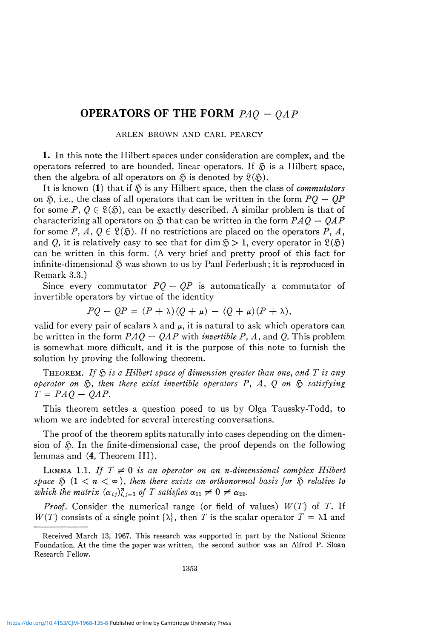# OPERATORS OF THE FORM  $PAQ - QAP$

ARLEN BROWN AND CARL PEARCY

1. In this note the Hilbert spaces under consideration are complex, and the operators referred to are bounded, linear operators. If  $\delta$  is a Hilbert space, then the algebra of all operators on  $\mathfrak{H}$  is denoted by  $\mathfrak{L}(\mathfrak{H})$ .

It is known (1) that if § is any Hilbert space, then the class of *commutators*  on  $\mathfrak{S}$ , i.e., the class of all operators that can be written in the form  $PO - OP$ for some  $P, Q \in \mathcal{L}(\mathcal{S})$ , can be exactly described. A similar problem is that of characterizing all operators on § that can be written in the form *PAQ — QAP*  for some P, A,  $0 \in \mathcal{R}(\mathfrak{H})$ . If no restrictions are placed on the operators P, A, and *Q*, it is relatively easy to see that for dim  $\mathfrak{H} > 1$ , every operator in  $\mathfrak{L}(\mathfrak{H})$ can be written in this form. (A very brief and pretty proof of this fact for infinite-dimensional  $\tilde{S}$  was shown to us by Paul Federbush; it is reproduced in Remark 3.3.)

Since every commutator  $PQ - QP$  is automatically a commutator of invertible operators by virtue of the identity

$$
PQ - QP = (P + \lambda)(Q + \mu) - (Q + \mu)(P + \lambda),
$$

valid for every pair of scalars  $\lambda$  and  $\mu$ , it is natural to ask which operators can be written in the form  $PAQ - QAP$  with *invertible* P, A, and Q. This problem is somewhat more difficult, and it is the purpose of this note to furnish the solution by proving the following theorem.

THEOREM. *If* § *is a Hilbert space of dimension greater than one, and T is any operator on* §, *then there exist invertible operators* P, *A, Q on* § *satisfying*   $T = PAO - OAP$ .

This theorem settles a question posed to us by Olga Taussky-Todd, to whom we are indebted for several interesting conversations.

The proof of the theorem splits naturally into cases depending on the dimension of § . In the finite-dimensional case, the proof depends on the following lemmas and (4, Theorem III).

LEMMA 1.1. If  $T \neq 0$  is an operator on an n-dimensional complex Hilbert *space*  $\Im$   $(1 \leq n \leq \infty)$ , *then there exists an orthonormal basis for*  $\Im$  *relative to which the matrix*  $(\alpha_{ij})_{i,j=1}^n$  of T satisfies  $\alpha_{11} \neq 0 \neq \alpha_{22}$ .

*Proof.* Consider the numerical range (or field of values)  $W(T)$  of T. If  $W(T)$  consists of a single point  $\{\lambda\}$ , then *T* is the scalar operator  $T = \lambda \mathbf{1}$  and

Received March 13, 1967. This research was supported in part by the National Science Foundation. At the time the paper was written, the second author was an Alfred P. Sloan Research Fellow.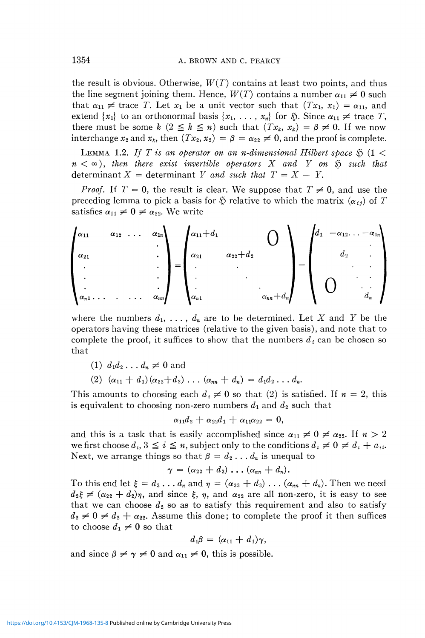the result is obvious. Otherwise,  $W(T)$  contains at least two points, and thus the line segment joining them. Hence,  $W(T)$  contains a number  $\alpha_{11} \neq 0$  such that  $\alpha_{11} \neq \text{trace } T$ . Let  $x_1$  be a unit vector such that  $(Tx_1, x_1) = \alpha_{11}$ , and extend  $\{x_1\}$  to an orthonormal basis  $\{x_1, \ldots, x_n\}$  for  $\tilde{\mathfrak{D}}$ . Since  $\alpha_{11} \neq \text{trace } T$ , there must be some  $k$  ( $2 \leq k \leq n$ ) such that  $(Tx_k, x_k) = \beta \neq 0$ . If we now interchange  $x_2$  and  $x_k$ , then  $(Tx_2, x_2) = \beta = \alpha_{22} \neq 0$ , and the proof is complete.

LEMMA 1.2. If T is an operator on an *n*-dimensional Hilbert space  $\delta$  (1 <  $n < \infty$ ), then there exist invertible operators X and *Y* on  $\tilde{S}$  such that determinant  $X =$  determinant Y and such that  $T = X - Y$ .

*Proof.* If  $T = 0$ , the result is clear. We suppose that  $T \neq 0$ , and use the preceding lemma to pick a basis for  $\mathfrak F$  relative to which the matrix  $(\alpha_{ij})$  of T satisfies  $\alpha_{11} \neq 0 \neq \alpha_{22}$ . We write



where the numbers  $d_1, \ldots, d_n$  are to be determined. Let X and Y be the operators having these matrices (relative to the given basis), and note that to complete the proof, it suffices to show that the numbers  $d_i$  can be chosen so that

(1) 
$$
d_1d_2\ldots d_n\neq 0
$$
 and

 $(2)$   $(\alpha_{11} + d_1)(\alpha_{22} + d_2) \ldots (\alpha_{nn} + d_n) = d_1 d_2 \ldots d_n$ 

This amounts to choosing each  $d_i \neq 0$  so that (2) is satisfied. If  $n = 2$ , this is equivalent to choosing non-zero numbers  $d_1$  and  $d_2$  such that

 $\alpha_{11}d_2 + \alpha_{22}d_1 + \alpha_{11}\alpha_{22} = 0,$ 

and this is a task that is easily accomplished since  $\alpha_{11} \neq 0 \neq \alpha_{22}$ . If  $n > 2$ we first choose  $d_i$ ,  $3 \leq i \leq n$ , subject only to the conditions  $d_i \neq 0 \neq d_i + a_{ii}$ . Next, we arrange things so that  $\beta = d_2 \dots d_n$  is unequal to

 $\gamma = (\alpha_{22} + d_2) \ldots (\alpha_{nn} + d_n).$ 

To this end let  $\xi = d_3 \dots d_n$  and  $\eta = (\alpha_{33} + d_3) \dots (\alpha_{nn} + d_n)$ . Then we need  $d_2\xi \neq (\alpha_{22} + d_2)\eta$ , and since  $\xi$ ,  $\eta$ , and  $\alpha_{22}$  are all non-zero, it is easy to see that we can choose  $d_2$  so as to satisfy this requirement and also to satisfy  $d_2 \neq 0 \neq d_2 + \alpha_{22}$ . Assume this done; to complete the proof it then suffices to choose  $d_1 \neq 0$  so that

$$
d_1\beta = (\alpha_{11} + d_1)\gamma,
$$

and since  $\beta \neq \gamma \neq 0$  and  $\alpha_{11} \neq 0$ , this is possible.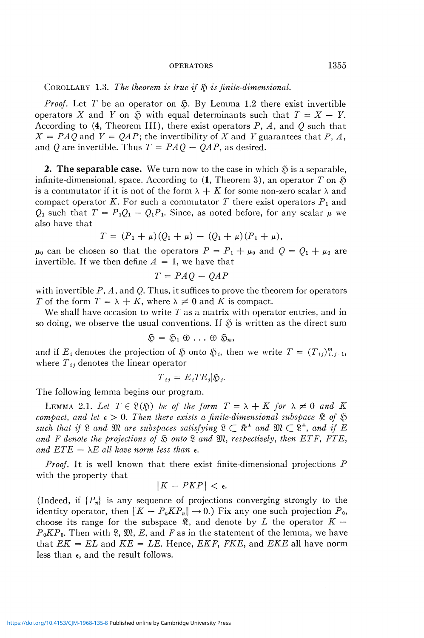COROLLARY 1.3. *The theorem is true if* § *is finite-dimensional.* 

*Proof.* Let T be an operator on  $\tilde{\mathcal{D}}$ . By Lemma 1.2 there exist invertible operators X and Y on  $\tilde{p}$  with equal determinants such that  $T = X - Y$ . According to (4, Theorem III), there exist operators P, *A,* and *Q* such that  $X = PAQ$  and  $Y = QAP$ ; the invertibility of X and Y guarantees that P, A, and *Q are* invertible. Thus *T* = *PAQ — QAP,* as desired.

**2. The separable case.** We turn now to the case in which  $\delta$  is a separable, infinite-dimensional, space. According to  $(1,$  Theorem 3), an operator T on  $\mathfrak{H}$ is a commutator if it is not of the form  $\lambda + K$  for some non-zero scalar  $\lambda$  and compact operator K. For such a commutator T there exist operators  $P_1$  and  $Q_1$  such that  $T = P_1Q_1 - Q_1P_1$ . Since, as noted before, for any scalar  $\mu$  we also have that

$$
T = (P_1 + \mu)(Q_1 + \mu) - (Q_1 + \mu)(P_1 + \mu),
$$

 $\mu_0$  can be chosen so that the operators  $P = P_1 + \mu_0$  and  $Q = Q_1 + \mu_0$  are invertible. If we then define  $A = 1$ , we have that

$$
T = PAQ - QAP
$$

with invertible  $P$ ,  $A$ , and  $Q$ . Thus, it suffices to prove the theorem for operators *T* of the form  $T = \lambda + K$ , where  $\lambda \neq 0$  and *K* is compact.

We shall have occasion to write *T* as a matrix with operator entries, and in so doing, we observe the usual conventions. If  $\tilde{\phi}$  is written as the direct sum

$$
\mathfrak{H} = \mathfrak{H}_1 \oplus \ldots \oplus \mathfrak{H}_m,
$$

and if  $E_i$  denotes the projection of  $\mathfrak{G}$  onto  $\mathfrak{G}_i$ , then we write  $T = (T_{ij})_{i,j=1}^m$ , where *Ttj* denotes the linear operator

$$
T_{ij} = E_i TE_j | \mathfrak{H}_j.
$$

The following lemma begins our program.

**LEMMA** 2.1. Let  $T \in \mathcal{R}(\mathfrak{H})$  be of the form  $T = \lambda + K$  for  $\lambda \neq 0$  and K *compact, and let*  $\epsilon > 0$ . Then there exists a finite-dimensional subspace  $\Re$  of  $\Im$ such that if  $\mathcal{R}$  and  $\mathfrak{M}$  are subspaces satisfying  $\mathcal{R} \subset \mathbb{R}^+$  and  $\mathfrak{M} \subset \mathcal{R}^+$ , and if  $E$ *and F denote the projections of* § *onto* 8 *and* 93?, *respectively, then ETF, FTE, and*  $ETE - \lambda E$  *all have norm less than*  $\epsilon$ .

*Proof.* It is well known that there exist finite-dimensional projections P with the property that

$$
||K - PKP|| < \epsilon.
$$

(Indeed, if  ${P_n}$  is any sequence of projections converging strongly to the identity operator, then  $||K - P_n K P_n|| \to 0$ .) Fix any one such projection  $P_0$ , choose its range for the subspace  $\Re$ , and denote by *L* the operator  $K$  –  $P_0KP_0$ . Then with 8,  $\mathfrak{M}, E$ , and F as in the statement of the lemma, we have that  $EK = EL$  and  $KE = LE$ . Hence,  $EKF$ ,  $FKE$ , and  $EKE$  all have norm less than  $\epsilon$ , and the result follows.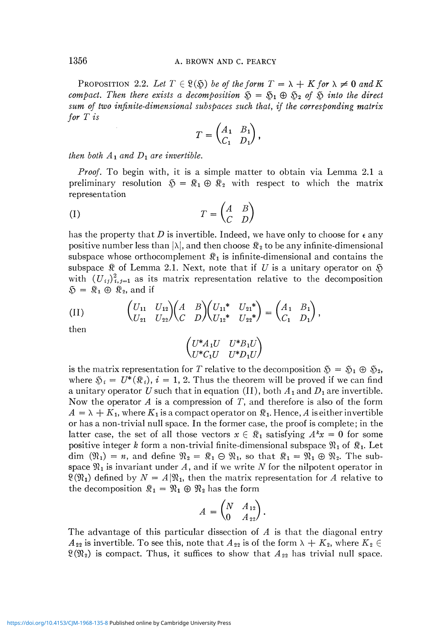PROPOSITION 2.2. Let  $T \in \mathcal{R}(\mathfrak{H})$  be of the form  $T = \lambda + K$  for  $\lambda \neq 0$  and K *compact. Then there exists a decomposition*  $\mathfrak{H} = \mathfrak{H}_1 \oplus \mathfrak{H}_2$  of  $\mathfrak{H}$  into the direct *sum of two infinite-dimensional sub spaces such that, if the corresponding matrix for T is* 

$$
T=\begin{pmatrix} A_1 & B_1 \\ C_1 & D_1 \end{pmatrix},
$$

*then both*  $A_1$  *and*  $D_1$  *are invertible.* 

*Proof.* To begin with, it is a simple matter to obtain via Lemma 2.1 a preliminary resolution  $\mathfrak{H} = \mathfrak{K}_1 \oplus \mathfrak{K}_2$  with respect to which the matrix representation

$$
(I) \t\t T = \begin{pmatrix} A & B \\ C & D \end{pmatrix}
$$

has the property that  $D$  is invertible. Indeed, we have only to choose for  $\epsilon$  any positive number less than  $|\lambda|$ , and then choose  $\Re_2$  to be any infinite-dimensional subspace whose orthocomplement  $\mathcal{R}_1$  is infinite-dimensional and contains the subspace  $\Re$  of Lemma 2.1. Next, note that if U is a unitary operator on  $\Im$ with  $(U_{ij})_{i,j=1}^2$  as its matrix representation relative to the decomposition  $\mathfrak{D} = \mathfrak{K}_1 \oplus \mathfrak{K}_2$ , and if

(II) 
$$
\begin{pmatrix} U_{11} & U_{12} \\ U_{21} & U_{22} \end{pmatrix} \begin{pmatrix} A & B \\ C & D \end{pmatrix} \begin{pmatrix} U_{11}^* & U_{21}^* \\ U_{12}^* & U_{22}^* \end{pmatrix} = \begin{pmatrix} A_1 & B_1 \\ C_1 & D_1 \end{pmatrix},
$$

then

$$
\begin{pmatrix} U^*A_1U & U^*B_1U \\ U^*C_1U & U^*D_1U \end{pmatrix}
$$

is the matrix representation for *T* relative to the decomposition  $\tilde{\mathfrak{D}} = \tilde{\mathfrak{D}}_1 \oplus \tilde{\mathfrak{D}}_2$ , where  $\mathfrak{H}_i = U^*(\mathfrak{K}_i)$ ,  $i = 1, 2$ . Thus the theorem will be proved if we can find a unitary operator U such that in equation (II), both  $A_1$  and  $D_1$  are invertible. Now the operator *A* is a compression of *T,* and therefore is also of the form  $A = \lambda + K_1$ , where  $K_1$  is a compact operator on  $\Re_1$ . Hence, A is either invertible or has a non-trivial null space. In the former case, the proof is complete; in the latter case, the set of all those vectors  $x \in \mathbb{R}_1$  satisfying  $A^k x = 0$  for some positive integer k form a non-trivial finite-dimensional subspace  $\mathfrak{N}_1$  of  $\mathfrak{K}_1$ . Let dim  $(\mathfrak{N}_1) = n$ , and define  $\mathfrak{N}_2 = \mathfrak{K}_1 \oplus \mathfrak{N}_1$ , so that  $\mathfrak{K}_1 = \mathfrak{N}_1 \oplus \mathfrak{N}_2$ . The subspace  $\mathfrak{N}_1$  is invariant under A, and if we write N for the nilpotent operator in  $\mathfrak{L}(\mathfrak{N}_1)$  defined by  $N = A|\mathfrak{N}_1$ , then the matrix representation for A relative to the decomposition  $\mathcal{R}_1 = \mathcal{R}_1 \oplus \mathcal{R}_2$  has the form

$$
A = \begin{pmatrix} N & A_{12} \\ 0 & A_{22} \end{pmatrix}.
$$

The advantage of this particular dissection of A is that the diagonal entry  $A_{22}$  is invertible. To see this, note that  $A_{22}$  is of the form  $\lambda + K_2$ , where  $K_2 \in$  $\frac{A_2}{2}$  is invertible. To see this, note that  $A_2$  is of the form  $X + B_2$ , where  $K_2 \subset \mathbb{R}$ 8(^2) is compact. Thus, it suffices to show that *A <sup>22</sup>* has trivial null space.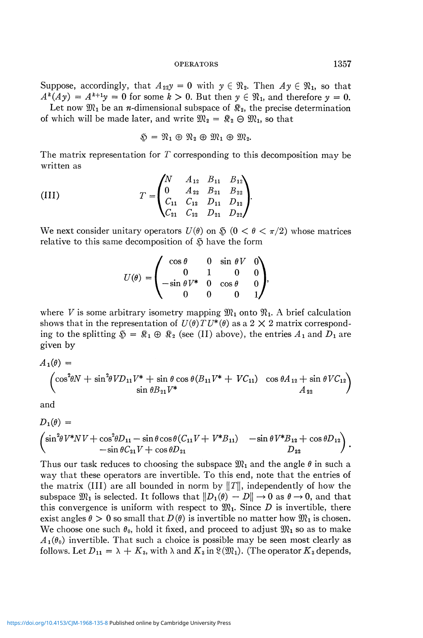Suppose, accordingly, that  $A_{22}y = 0$  with  $y \in \mathfrak{N}_2$ . Then  $A y \in \mathfrak{N}_1$ , so that  $A^k(Ay) = A^{k+1}y = 0$  for some  $k > 0$ . But then  $y \in \mathfrak{N}_1$ , and therefore  $y = 0$ .

Let now  $\mathfrak{M}_1$  be an *n*-dimensional subspace of  $\mathfrak{K}_2$ , the precise determination of which will be made later, and write  $\mathfrak{M}_2 = \mathfrak{K}_2 \oplus \mathfrak{M}_1$ , so that

$$
\mathfrak{D} = \mathfrak{N}_1 \oplus \mathfrak{N}_2 \oplus \mathfrak{M}_1 \oplus \mathfrak{M}_2.
$$

The matrix representation for  $T$  corresponding to this decomposition may be written as

(III) 
$$
T = \begin{pmatrix} N & A_{12} & B_{11} & B_{12} \\ 0 & A_{22} & B_{21} & B_{22} \\ C_{11} & C_{12} & D_{11} & D_{12} \\ C_{21} & C_{22} & D_{21} & D_{22} \end{pmatrix}
$$

We next consider unitary operators  $U(\theta)$  on  $\Im(0 < \theta < \pi/2)$  whose matrices relative to this same decomposition of  $\mathfrak{H}$  have the form

$$
U(\theta) = \begin{pmatrix} \cos \theta & 0 & \sin \theta V & 0 \\ 0 & 1 & 0 & 0 \\ -\sin \theta V^* & 0 & \cos \theta & 0 \\ 0 & 0 & 0 & 1 \end{pmatrix}
$$

where *V* is some arbitrary isometry mapping  $\mathfrak{M}_1$  onto  $\mathfrak{N}_1$ . A brief calculation shows that in the representation of  $U(\theta) T U^*(\theta)$  as a 2  $\times$  2 matrix corresponding to the splitting  $\mathfrak{H} = \mathfrak{K}_1 \oplus \mathfrak{K}_2$  (see (II) above), the entries  $A_1$  and  $D_1$  are given by

$$
A_1(\theta) =
$$
  

$$
\begin{pmatrix} \cos^2 \theta N + \sin^2 \theta V D_{11} V^* + \sin \theta \cos \theta (B_{11} V^* + VC_{11}) & \cos \theta A_{12} + \sin \theta V C_{12} \\ \sin \theta B_{21} V^* & A_{22} \end{pmatrix}
$$

and

$$
D_1(\theta) =
$$
  
\n
$$
\begin{pmatrix}\n\sin^2 \theta V^* N V + \cos^2 \theta D_{11} - \sin \theta \cos \theta (C_{11} V + V^* B_{11}) & -\sin \theta V^* B_{12} + \cos \theta D_{12} \\
-\sin \theta C_{21} V + \cos \theta D_{21} & D_{22}\n\end{pmatrix}.
$$

Thus our task reduces to choosing the subspace  $\mathfrak{M}_1$  and the angle  $\theta$  in such a way that these operators are invertible. To this end, note that the entries of the matrix (III) are all bounded in norm by  $||T||$ , independently of how the subspace  $\mathfrak{M}_1$  is selected. It follows that  $||D_1(\theta) - D|| \rightarrow 0$  as  $\theta \rightarrow 0$ , and that this convergence is uniform with respect to  $\mathfrak{M}_1$ . Since D is invertible, there exist angles  $\theta > 0$  so small that  $D(\theta)$  is invertible no matter how  $\mathfrak{M}_1$  is chosen. We choose one such  $\theta_0$ , hold it fixed, and proceed to adjust  $\mathfrak{M}_1$  so as to make  $A_1(\theta_0)$  invertible. That such a choice is possible may be seen most clearly as follows. Let  $D_{11} = \lambda + K_3$ , with  $\lambda$  and  $K_3$  in  $\mathfrak{L}(\mathfrak{M}_1)$ . (The operator  $K_3$  depends,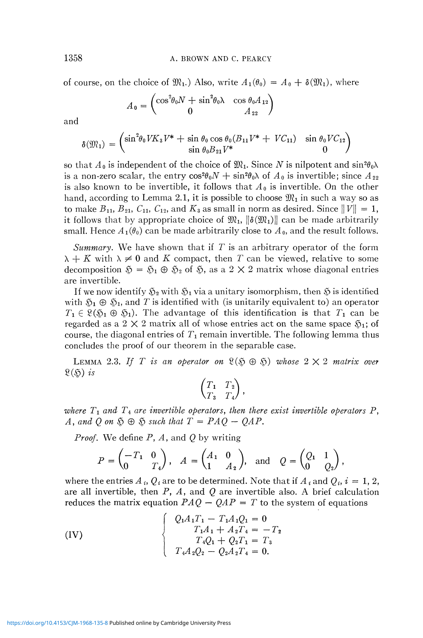of course, on the choice of  $\mathfrak{M}_1$ .) Also, write  $A_1(\theta_0) = A_0 + \delta(\mathfrak{M}_1)$ , where

$$
A_0 = \begin{pmatrix} \cos^2 \theta_0 N + \sin^2 \theta_0 \lambda & \cos \theta_0 A_{12} \\ 0 & A_{22} \end{pmatrix}
$$

and

$$
\delta(\mathfrak{M}_1) = \begin{pmatrix} \sin^2 \theta_0 V K_3 V^* + \sin \theta_0 \cos \theta_0 (B_{11} V^* + VC_{11}) & \sin \theta_0 VC_{12} \\ \sin \theta_0 B_{21} V^* & 0 \end{pmatrix}
$$

so that  $A_0$  is independent of the choice of  $\mathfrak{M}_1$ . Since N is nilpotent and  $\sin^2\theta_0\lambda$ is a non-zero scalar, the entry  $cos^2\theta_0 N + sin^2\theta_0 \lambda$  of  $A_0$  is invertible; since  $A_{22}$ is also known to be invertible, it follows that  $A_0$  is invertible. On the other hand, according to Lemma 2.1, it is possible to choose  $\mathfrak{M}_1$  in such a way so as to make  $B_{11}$ ,  $B_{21}$ ,  $C_{11}$ ,  $C_{12}$ , and  $K_3$  as small in norm as desired. Since  $||V|| = 1$ , it follows that by appropriate choice of  $\mathfrak{M}_1$ ,  $\|\delta(\mathfrak{M}_1)\|$  can be made arbitrarily small. Hence  $A_1(\theta_0)$  can be made arbitrarily close to  $A_0$ , and the result follows.

*Summary.* We have shown that if *T* is an arbitrary operator of the form  $\lambda + K$  with  $\lambda \neq 0$  and K compact, then T can be viewed, relative to some decomposition  $\mathfrak{H} = \mathfrak{H}_1 \oplus \mathfrak{H}_2$  of  $\mathfrak{H}$ , as a 2  $\times$  2 matrix whose diagonal entries are invertible.

If we now identify  $S_2$  with  $S_1$  via a unitary isomorphism, then  $S_2$  is identified with  $\mathfrak{H}_1 \oplus \mathfrak{H}_1$ , and T is identified with (is unitarily equivalent to) an operator  $T_1 \in \mathcal{R}(\mathfrak{H}_1 \oplus \mathfrak{H}_1)$ . The advantage of this identification is that  $T_1$  can be regarded as a 2  $\times$  2 matrix all of whose entries act on the same space  $\mathfrak{H}_1$ ; of course, the diagonal entries of  $T_1$  remain invertible. The following lemma thus concludes the proof of our theorem in the separable case.

LEMMA 2.3. If T is an operator on  $\mathfrak{L}(\mathfrak{H} \oplus \mathfrak{H})$  whose  $2 \times 2$  matrix over  $\mathfrak{L}(\mathfrak{H})$  is

$$
\begin{pmatrix} T_1 & T_2 \ T_3 & T_4 \end{pmatrix},
$$

where  $T_1$  and  $T_4$  are invertible operators, then there exist invertible operators  $P$ ,  $A$ , and Q on  $\mathfrak{H} \oplus \mathfrak{H}$  such that  $T = PAO - OAP$ .

*Proof.* We define *P, A*, and *Q* by writing

$$
P = \begin{pmatrix} -T_1 & 0 \\ 0 & T_4 \end{pmatrix}, \quad A = \begin{pmatrix} A_1 & 0 \\ 1 & A_2 \end{pmatrix}, \quad \text{and} \quad Q = \begin{pmatrix} Q_1 & 1 \\ 0 & Q_2 \end{pmatrix},
$$

where the entries  $A_i$ ,  $Q_i$  are to be determined. Note that if  $A_i$  and  $Q_i$ ,  $i = 1, 2, 3$ *are* all invertible, then *P,* 4 , and *Q* are invertible also. A brief calculation reduces the matrix equation  $PAQ - QAP = T$  to the system of equations

(IV)  
\n
$$
\begin{cases}\nQ_1 A_1 T_1 - T_1 A_1 Q_1 = 0 \\
T_1 A_1 + A_2 T_4 = -T_2 \\
T_4 Q_1 + Q_2 T_1 = T_3 \\
T_4 A_2 Q_2 - Q_2 A_2 T_4 = 0.\n\end{cases}
$$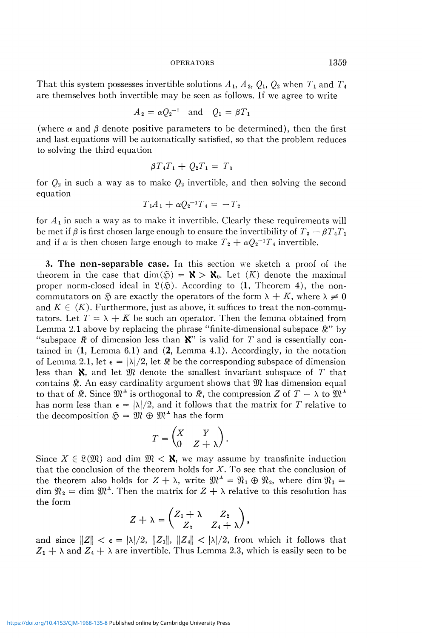That this system possesses invertible solutions  $A_1$ ,  $A_2$ ,  $Q_1$ ,  $Q_2$  when  $T_1$  and  $T_4$ are themselves both invertible may be seen as follows. If we agree to write

$$
A_2 = \alpha Q_2^{-1} \quad \text{and} \quad Q_1 = \beta T_1
$$

(where  $\alpha$  and  $\beta$  denote positive parameters to be determined), then the first and last equations will be automatically satisfied, so that the problem reduces to solving the third equation

$$
\beta T_4 T_1 + Q_2 T_1 = T_3
$$

for *Q2* in such a way as to make *Q2* invertible, and then solving the second equation

$$
T_1A_1 + \alpha Q_2^{-1}T_4 = -T_2
$$

for  $A_1$  in such a way as to make it invertible. Clearly these requirements will be met if  $\beta$  is first chosen large enough to ensure the invertibility of  $T_3 - \beta T_4 T_1$ and if  $\alpha$  is then chosen large enough to make  $T_2 + \alpha Q_2^{-1}T_4$  invertible.

**3. The non-separable case.** In this section we sketch a proof of the theorem in the case that  $\dim(\mathfrak{H}) = \mathbf{X} > \mathbf{X}_0$ . Let  $(K)$  denote the maximal proper norm-closed ideal in  $\mathcal{R}(\mathfrak{H})$ . According to (1, Theorem 4), the noncommutators on  $\Im$  are exactly the operators of the form  $\lambda + K$ , where  $\lambda \neq 0$ and  $K \in (K)$ . Furthermore, just as above, it suffices to treat the non-commutators. Let  $T = \lambda + K$  be such an operator. Then the lemma obtained from Lemma 2.1 above by replacing the phrase "finite-dimensional subspace  $\mathbb{R}$ " by "subspace  $\mathcal R$  of dimension less than  $\mathbf X$ " is valid for T and is essentially contained in  $(1, \text{Lemma 6.1})$  and  $(2, \text{Lemma 4.1})$ . Accordingly, in the notation of Lemma 2.1, let  $\epsilon = |\lambda|/2$ , let  $\Re$  be the corresponding subspace of dimension less than **X**, and let  $\mathfrak{M}$  denote the smallest invariant subspace of T that contains  $\mathcal R$ . An easy cardinality argument shows that  $\mathcal M$  has dimension equal to that of  $\Re$ . Since  $\mathfrak{M}^{\perp}$  is orthogonal to  $\Re$ , the compression Z of  $T - \lambda$  to  $\Re^{\perp}$ has norm less than  $\epsilon = |\lambda|/2$ , and it follows that the matrix for T relative to the decomposition  $\mathfrak{H} = \mathfrak{M} \oplus \mathfrak{M}^{\perp}$  has the form

$$
T = \begin{pmatrix} X & Y \\ 0 & Z + \lambda \end{pmatrix}.
$$

Since  $X \in \mathcal{X}(\mathfrak{M})$  and dim  $\mathfrak{M} \leq \mathfrak{X}$ , we may assume by transfinite induction that the conclusion of the theorem holds for  $X$ . To see that the conclusion of the theorem also holds for  $Z + \lambda$ , write  $\mathfrak{M}^{\perp} = \mathfrak{N}_1 \oplus \mathfrak{N}_2$ , where dim  $\mathfrak{N}_1 =$ the theorem also holds for  $Z + \lambda$ , write  $\mathcal{X} = \mathcal{X}_1 \cup \mathcal{X}_2$ , where dim  $\mathcal{X}_1 =$ <br>dim  $\mathcal{X}_2 =$  dim  $\mathcal{Y}^2$ . Then the matrix for  $Z + \lambda$  relative to this resolution has  $\lim_{M_2}$  =  $\lim_{M_3}$ , Then the matrix for  $Z$  +  $\Lambda$  relative to this resolution has the form

$$
Z+\lambda=\begin{pmatrix} Z_1+\lambda & Z_2 \ Z_3 & Z_4+\lambda \end{pmatrix},
$$

and since  $\|Z\| < \epsilon = |\lambda|/2$ ,  $\|Z_1\|$ ,  $\|Z_4\| < |\lambda|/2$ , from which it follows that  $Z_1 + \lambda$  and  $Z_4 + \lambda$  are invertible. Thus Lemma 2.3, which is easily seen to be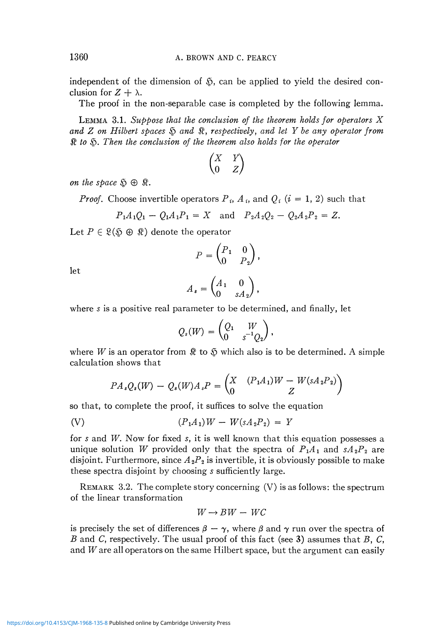independent of the dimension of  $\tilde{\mathfrak{D}}$ , can be applied to yield the desired conclusion for  $Z + \lambda$ .

The proof in the non-separable case is completed by the following lemma.

LEMMA 3.1. *Suppose that the conclusion of the theorem holds for operators X and Z on Hilbert spaces & and* \$, *respectively, and let Y be any operator from*  \$ *to* § . *Then the conclusion of the theorem also holds for the operator* 

$$
\begin{pmatrix} X & Y \\ 0 & Z \end{pmatrix}
$$

*on the space*  $\mathfrak{H} \oplus \mathfrak{K}$ .

*Proof.* Choose invertible operators  $P_i$ ,  $A_i$ , and  $Q_i$  ( $i = 1, 2$ ) such that

$$
P_1A_1Q_1 - Q_1A_1P_1 = X \text{ and } P_2A_2Q_2 - Q_2A_2P_2 = Z.
$$

Let  $P \in \mathcal{R}(\mathfrak{H} \oplus \mathfrak{K})$  denote the operator

$$
P = \begin{pmatrix} P_1 & 0 \\ 0 & P_2 \end{pmatrix},
$$

let

$$
A_s = \begin{pmatrix} A_1 & 0 \\ 0 & sA_2 \end{pmatrix},
$$

where s is a positive real parameter to be determined, and finally, let

$$
Q_s(W)=\begin{pmatrix} Q_1 & W \ 0 & s^{-1}Q_2 \end{pmatrix},
$$

where W is an operator from  $\Re$  to  $\Im$  which also is to be determined. A simple calculation shows that

$$
PA_sQ_s(W) - Q_s(W)A_sP = \begin{pmatrix} X & (P_1A_1)W - W(sA_2P_2) \\ 0 & Z \end{pmatrix}
$$

so that, to complete the proof, it suffices to solve the equation

(V) 
$$
(P_1A_1)W - W(sA_2P_2) = Y
$$

for s and W. Now for fixed s, it is well known that this equation possesses a unique solution *W* provided only that the spectra of  $P_1A_1$  and  $sA_2P_2$  are disjoint. Furthermore, since  $A_2P_2$  is invertible, it is obviously possible to make these spectra disjoint by choosing *s* sufficiently large.

REMARK 3.2. The complete story concerning  $(V)$  is as follows: the spectrum of the linear transformation

$$
W \to BW - WC
$$

is precisely the set of differences  $\beta - \gamma$ , where  $\beta$  and  $\gamma$  run over the spectra of *B* and C, respectively. The usual proof of this fact (see 3) assumes that *B,* C, and *W* are all operators on the same Hilbert space, but the argument can easily